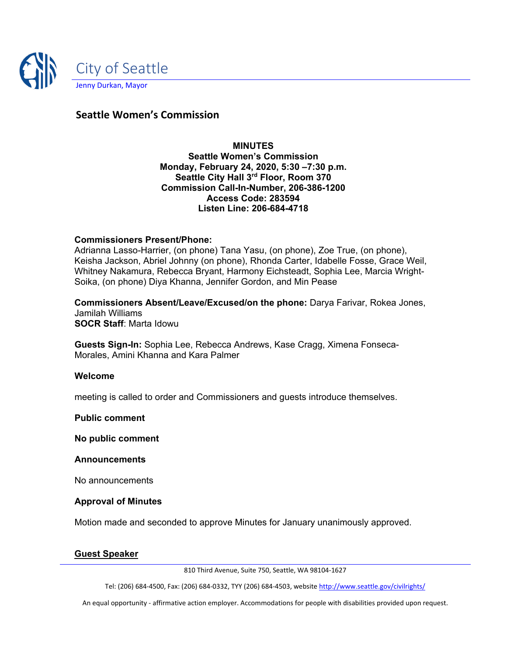

# **Seattle Women's Commission**

**MINUTES Seattle Women's Commission Monday, February 24, 2020, 5:30 –7:30 p.m. Seattle City Hall 3rd Floor, Room 370 Commission Call-In-Number, 206-386-1200 Access Code: 283594 Listen Line: 206-684-4718**

#### **Commissioners Present/Phone:**

Adrianna Lasso-Harrier, (on phone) Tana Yasu, (on phone), Zoe True, (on phone), Keisha Jackson, Abriel Johnny (on phone), Rhonda Carter, Idabelle Fosse, Grace Weil, Whitney Nakamura, Rebecca Bryant, Harmony Eichsteadt, Sophia Lee, Marcia Wright-Soika, (on phone) Diya Khanna, Jennifer Gordon, and Min Pease

**Commissioners Absent/Leave/Excused/on the phone:** Darya Farivar, Rokea Jones, Jamilah Williams **SOCR Staff**: Marta Idowu

**Guests Sign-In:** Sophia Lee, Rebecca Andrews, Kase Cragg, Ximena Fonseca-Morales, Amini Khanna and Kara Palmer

#### **Welcome**

meeting is called to order and Commissioners and guests introduce themselves.

#### **Public comment**

**No public comment**

#### **Announcements**

No announcements

#### **Approval of Minutes**

Motion made and seconded to approve Minutes for January unanimously approved.

#### **Guest Speaker**

810 Third Avenue, Suite 750, Seattle, WA 98104-1627

Tel: (206) 684-4500, Fax: (206) 684-0332, TYY (206) 684-4503, websit[e http://www.seattle.gov/civilrights/](http://www.seattle.gov/civilrights/)

An equal opportunity - affirmative action employer. Accommodations for people with disabilities provided upon request.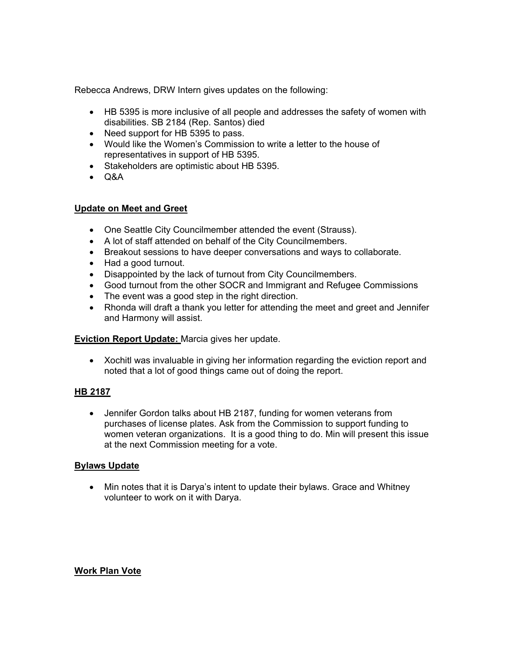Rebecca Andrews, DRW Intern gives updates on the following:

- HB 5395 is more inclusive of all people and addresses the safety of women with disabilities. SB 2184 (Rep. Santos) died
- Need support for HB 5395 to pass.
- Would like the Women's Commission to write a letter to the house of representatives in support of HB 5395.
- Stakeholders are optimistic about HB 5395.
- Q&A

# **Update on Meet and Greet**

- One Seattle City Councilmember attended the event (Strauss).
- A lot of staff attended on behalf of the City Councilmembers.
- Breakout sessions to have deeper conversations and ways to collaborate.
- Had a good turnout.
- Disappointed by the lack of turnout from City Councilmembers.
- Good turnout from the other SOCR and Immigrant and Refugee Commissions
- The event was a good step in the right direction.
- Rhonda will draft a thank you letter for attending the meet and greet and Jennifer and Harmony will assist.

# **Eviction Report Update:** Marcia gives her update.

• Xochitl was invaluable in giving her information regarding the eviction report and noted that a lot of good things came out of doing the report.

# **HB 2187**

• Jennifer Gordon talks about HB 2187, funding for women veterans from purchases of license plates. Ask from the Commission to support funding to women veteran organizations. It is a good thing to do. Min will present this issue at the next Commission meeting for a vote.

# **Bylaws Update**

• Min notes that it is Darya's intent to update their bylaws. Grace and Whitney volunteer to work on it with Darya.

# **Work Plan Vote**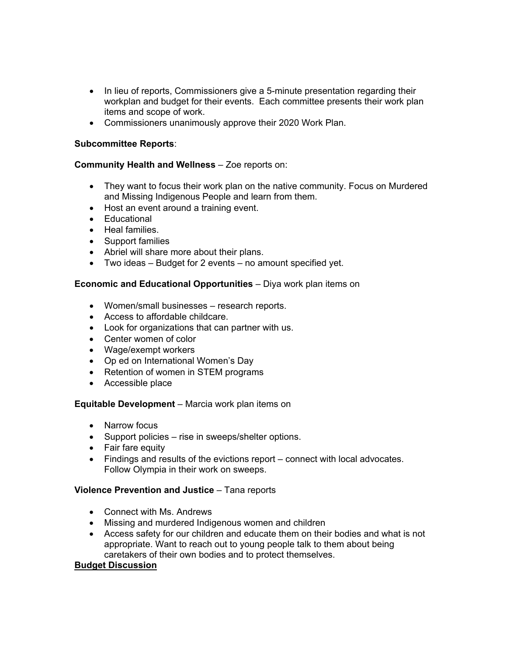- In lieu of reports, Commissioners give a 5-minute presentation regarding their workplan and budget for their events. Each committee presents their work plan items and scope of work.
- Commissioners unanimously approve their 2020 Work Plan.

# **Subcommittee Reports**:

# **Community Health and Wellness** – Zoe reports on:

- They want to focus their work plan on the native community. Focus on Murdered and Missing Indigenous People and learn from them.
- Host an event around a training event.
- Educational
- Heal families.
- Support families
- Abriel will share more about their plans.
- Two ideas Budget for 2 events no amount specified yet.

# **Economic and Educational Opportunities** – Diya work plan items on

- Women/small businesses research reports.
- Access to affordable childcare.
- Look for organizations that can partner with us.
- Center women of color
- Wage/exempt workers
- Op ed on International Women's Day
- Retention of women in STEM programs
- Accessible place

# **Equitable Development** – Marcia work plan items on

- Narrow focus
- Support policies rise in sweeps/shelter options.
- Fair fare equity
- Findings and results of the evictions report connect with local advocates. Follow Olympia in their work on sweeps.

# **Violence Prevention and Justice** – Tana reports

- Connect with Ms. Andrews
- Missing and murdered Indigenous women and children
- Access safety for our children and educate them on their bodies and what is not appropriate. Want to reach out to young people talk to them about being caretakers of their own bodies and to protect themselves.

# **Budget Discussion**